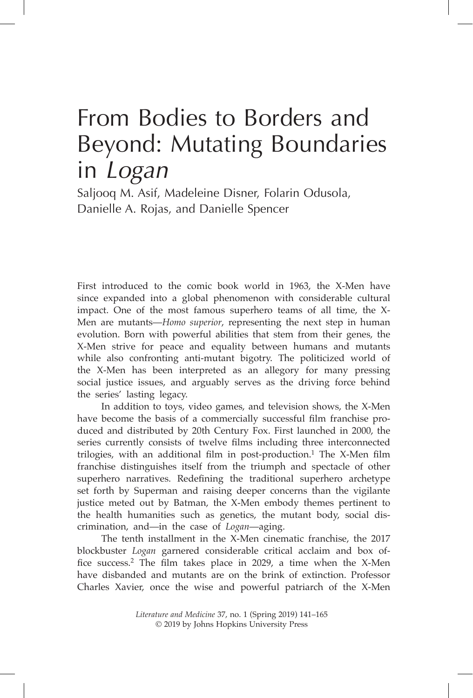# From Bodies to Borders and Beyond: Mutating Boundaries in *Logan*

Saljooq M. Asif, Madeleine Disner, Folarin Odusola, Danielle A. Rojas, and Danielle Spencer

First introduced to the comic book world in 1963, the X-Men have since expanded into a global phenomenon with considerable cultural impact. One of the most famous superhero teams of all time, the X-Men are mutants—*Homo superior*, representing the next step in human evolution. Born with powerful abilities that stem from their genes, the X-Men strive for peace and equality between humans and mutants while also confronting anti-mutant bigotry. The politicized world of the X-Men has been interpreted as an allegory for many pressing social justice issues, and arguably serves as the driving force behind the series' lasting legacy.

In addition to toys, video games, and television shows, the X-Men have become the basis of a commercially successful film franchise produced and distributed by 20th Century Fox. First launched in 2000, the series currently consists of twelve films including three interconnected trilogies, with an additional film in post-production.<sup>1</sup> The X-Men film franchise distinguishes itself from the triumph and spectacle of other superhero narratives. Redefining the traditional superhero archetype set forth by Superman and raising deeper concerns than the vigilante justice meted out by Batman, the X-Men embody themes pertinent to the health humanities such as genetics, the mutant body, social discrimination, and—in the case of *Logan*—aging.

The tenth installment in the X-Men cinematic franchise, the 2017 blockbuster *Logan* garnered considerable critical acclaim and box office success.<sup>2</sup> The film takes place in 2029, a time when the X-Men have disbanded and mutants are on the brink of extinction. Professor Charles Xavier, once the wise and powerful patriarch of the X-Men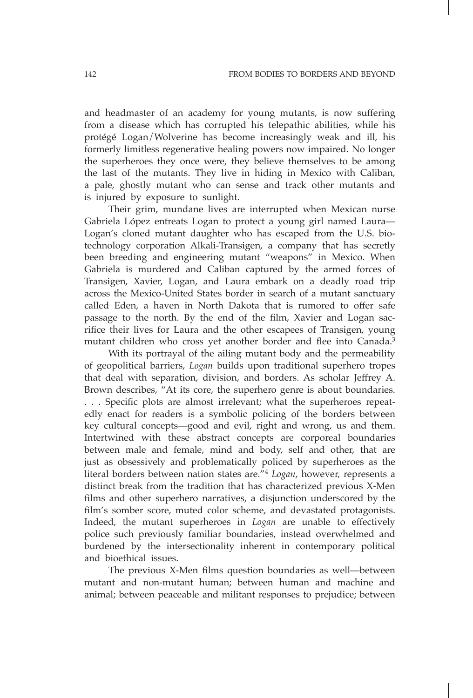and headmaster of an academy for young mutants, is now suffering from a disease which has corrupted his telepathic abilities, while his protégé Logan/Wolverine has become increasingly weak and ill, his formerly limitless regenerative healing powers now impaired. No longer the superheroes they once were, they believe themselves to be among the last of the mutants. They live in hiding in Mexico with Caliban, a pale, ghostly mutant who can sense and track other mutants and is injured by exposure to sunlight.

Their grim, mundane lives are interrupted when Mexican nurse Gabriela López entreats Logan to protect a young girl named Laura— Logan's cloned mutant daughter who has escaped from the U.S. biotechnology corporation Alkali-Transigen, a company that has secretly been breeding and engineering mutant "weapons" in Mexico. When Gabriela is murdered and Caliban captured by the armed forces of Transigen, Xavier, Logan, and Laura embark on a deadly road trip across the Mexico-United States border in search of a mutant sanctuary called Eden, a haven in North Dakota that is rumored to offer safe passage to the north. By the end of the film, Xavier and Logan sacrifice their lives for Laura and the other escapees of Transigen, young mutant children who cross yet another border and flee into Canada.<sup>3</sup>

With its portrayal of the ailing mutant body and the permeability of geopolitical barriers, *Logan* builds upon traditional superhero tropes that deal with separation, division, and borders. As scholar Jeffrey A. Brown describes, "At its core, the superhero genre is about boundaries. . . . Specific plots are almost irrelevant; what the superheroes repeatedly enact for readers is a symbolic policing of the borders between key cultural concepts—good and evil, right and wrong, us and them. Intertwined with these abstract concepts are corporeal boundaries between male and female, mind and body, self and other, that are just as obsessively and problematically policed by superheroes as the literal borders between nation states are."<sup>4</sup> *Logan*, however, represents a distinct break from the tradition that has characterized previous X-Men films and other superhero narratives, a disjunction underscored by the film's somber score, muted color scheme, and devastated protagonists. Indeed, the mutant superheroes in *Logan* are unable to effectively police such previously familiar boundaries, instead overwhelmed and burdened by the intersectionality inherent in contemporary political and bioethical issues.

The previous X-Men films question boundaries as well—between mutant and non-mutant human; between human and machine and animal; between peaceable and militant responses to prejudice; between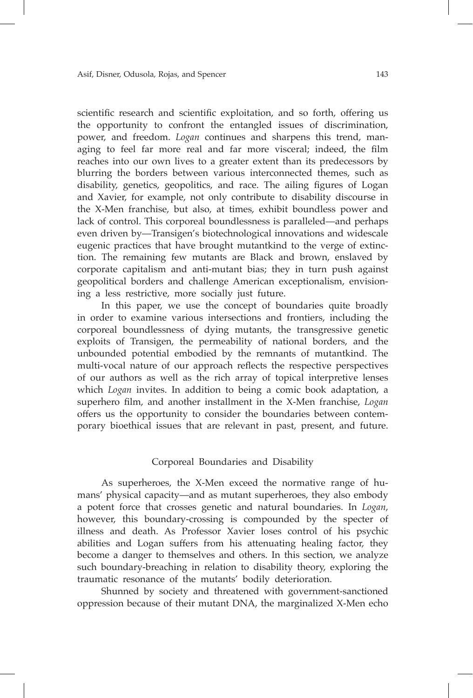scientific research and scientific exploitation, and so forth, offering us the opportunity to confront the entangled issues of discrimination, power, and freedom. *Logan* continues and sharpens this trend, managing to feel far more real and far more visceral; indeed, the film reaches into our own lives to a greater extent than its predecessors by blurring the borders between various interconnected themes, such as disability, genetics, geopolitics, and race. The ailing figures of Logan and Xavier, for example, not only contribute to disability discourse in the X-Men franchise, but also, at times, exhibit boundless power and lack of control. This corporeal boundlessness is paralleled—and perhaps even driven by—Transigen's biotechnological innovations and widescale eugenic practices that have brought mutantkind to the verge of extinction. The remaining few mutants are Black and brown, enslaved by corporate capitalism and anti-mutant bias; they in turn push against geopolitical borders and challenge American exceptionalism, envisioning a less restrictive, more socially just future.

In this paper, we use the concept of boundaries quite broadly in order to examine various intersections and frontiers, including the corporeal boundlessness of dying mutants, the transgressive genetic exploits of Transigen, the permeability of national borders, and the unbounded potential embodied by the remnants of mutantkind. The multi-vocal nature of our approach reflects the respective perspectives of our authors as well as the rich array of topical interpretive lenses which *Logan* invites. In addition to being a comic book adaptation, a superhero film, and another installment in the X-Men franchise, *Logan* offers us the opportunity to consider the boundaries between contemporary bioethical issues that are relevant in past, present, and future.

## Corporeal Boundaries and Disability

As superheroes, the X-Men exceed the normative range of humans' physical capacity—and as mutant superheroes, they also embody a potent force that crosses genetic and natural boundaries. In *Logan*, however, this boundary-crossing is compounded by the specter of illness and death. As Professor Xavier loses control of his psychic abilities and Logan suffers from his attenuating healing factor, they become a danger to themselves and others. In this section, we analyze such boundary-breaching in relation to disability theory, exploring the traumatic resonance of the mutants' bodily deterioration.

Shunned by society and threatened with government-sanctioned oppression because of their mutant DNA, the marginalized X-Men echo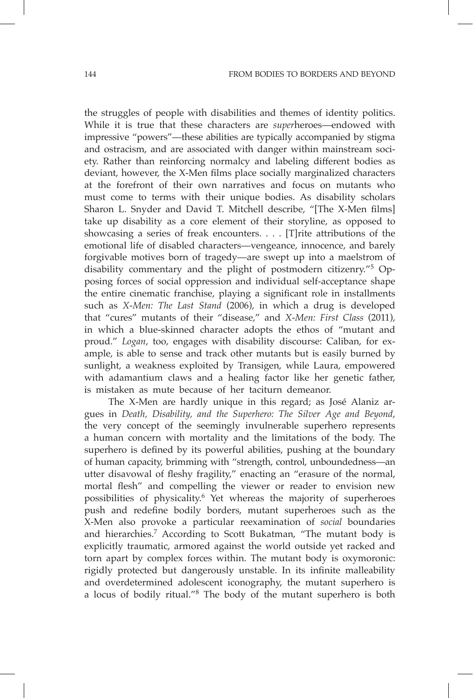the struggles of people with disabilities and themes of identity politics. While it is true that these characters are *super*heroes—endowed with impressive "powers"—these abilities are typically accompanied by stigma and ostracism, and are associated with danger within mainstream society. Rather than reinforcing normalcy and labeling different bodies as deviant, however, the X-Men films place socially marginalized characters at the forefront of their own narratives and focus on mutants who must come to terms with their unique bodies. As disability scholars Sharon L. Snyder and David T. Mitchell describe, "[The X-Men films] take up disability as a core element of their storyline, as opposed to showcasing a series of freak encounters. . . . [T]rite attributions of the emotional life of disabled characters—vengeance, innocence, and barely forgivable motives born of tragedy—are swept up into a maelstrom of disability commentary and the plight of postmodern citizenry."5 Opposing forces of social oppression and individual self-acceptance shape the entire cinematic franchise, playing a significant role in installments such as *X-Men: The Last Stand* (2006), in which a drug is developed that "cures" mutants of their "disease," and *X-Men: First Class* (2011), in which a blue-skinned character adopts the ethos of "mutant and proud." *Logan*, too, engages with disability discourse: Caliban, for example, is able to sense and track other mutants but is easily burned by sunlight, a weakness exploited by Transigen, while Laura, empowered with adamantium claws and a healing factor like her genetic father, is mistaken as mute because of her taciturn demeanor.

The X-Men are hardly unique in this regard; as José Alaniz argues in *Death, Disability, and the Superhero: The Silver Age and Beyond*, the very concept of the seemingly invulnerable superhero represents a human concern with mortality and the limitations of the body. The superhero is defined by its powerful abilities, pushing at the boundary of human capacity, brimming with "strength, control, unboundedness—an utter disavowal of fleshy fragility," enacting an "erasure of the normal, mortal flesh" and compelling the viewer or reader to envision new possibilities of physicality.6 Yet whereas the majority of superheroes push and redefine bodily borders, mutant superheroes such as the X-Men also provoke a particular reexamination of *social* boundaries and hierarchies.7 According to Scott Bukatman, "The mutant body is explicitly traumatic, armored against the world outside yet racked and torn apart by complex forces within. The mutant body is oxymoronic: rigidly protected but dangerously unstable. In its infinite malleability and overdetermined adolescent iconography, the mutant superhero is a locus of bodily ritual."8 The body of the mutant superhero is both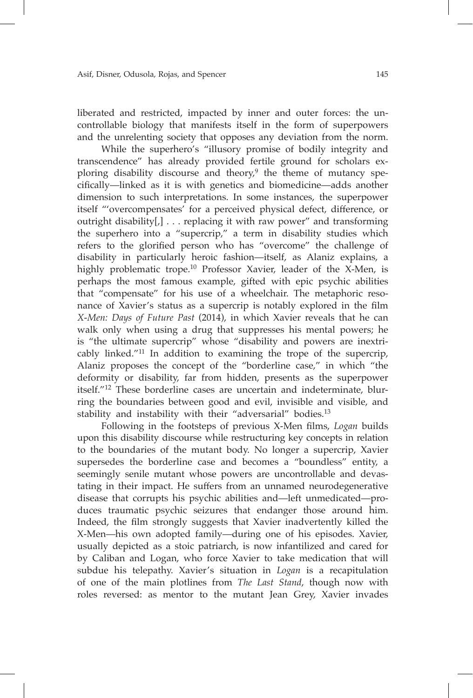liberated and restricted, impacted by inner and outer forces: the uncontrollable biology that manifests itself in the form of superpowers and the unrelenting society that opposes any deviation from the norm.

While the superhero's "illusory promise of bodily integrity and transcendence" has already provided fertile ground for scholars exploring disability discourse and theory,<sup>9</sup> the theme of mutancy specifically—linked as it is with genetics and biomedicine—adds another dimension to such interpretations. In some instances, the superpower itself "'overcompensates' for a perceived physical defect, difference, or outright disability[,] . . . replacing it with raw power" and transforming the superhero into a "supercrip," a term in disability studies which refers to the glorified person who has "overcome" the challenge of disability in particularly heroic fashion—itself, as Alaniz explains, a highly problematic trope.<sup>10</sup> Professor Xavier, leader of the X-Men, is perhaps the most famous example, gifted with epic psychic abilities that "compensate" for his use of a wheelchair. The metaphoric resonance of Xavier's status as a supercrip is notably explored in the film *X-Men: Days of Future Past* (2014), in which Xavier reveals that he can walk only when using a drug that suppresses his mental powers; he is "the ultimate supercrip" whose "disability and powers are inextricably linked."11 In addition to examining the trope of the supercrip, Alaniz proposes the concept of the "borderline case," in which "the deformity or disability, far from hidden, presents as the superpower itself."12 These borderline cases are uncertain and indeterminate, blurring the boundaries between good and evil, invisible and visible, and stability and instability with their "adversarial" bodies.<sup>13</sup>

Following in the footsteps of previous X-Men films, *Logan* builds upon this disability discourse while restructuring key concepts in relation to the boundaries of the mutant body. No longer a supercrip, Xavier supersedes the borderline case and becomes a "boundless" entity, a seemingly senile mutant whose powers are uncontrollable and devastating in their impact. He suffers from an unnamed neurodegenerative disease that corrupts his psychic abilities and—left unmedicated—produces traumatic psychic seizures that endanger those around him. Indeed, the film strongly suggests that Xavier inadvertently killed the X-Men—his own adopted family—during one of his episodes. Xavier, usually depicted as a stoic patriarch, is now infantilized and cared for by Caliban and Logan, who force Xavier to take medication that will subdue his telepathy. Xavier's situation in *Logan* is a recapitulation of one of the main plotlines from *The Last Stand*, though now with roles reversed: as mentor to the mutant Jean Grey, Xavier invades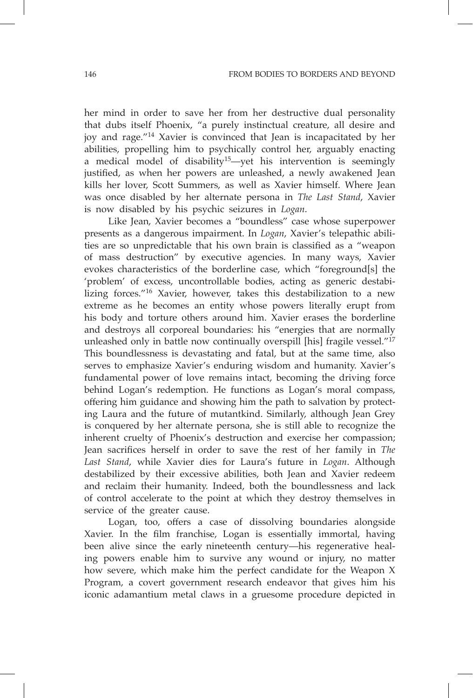her mind in order to save her from her destructive dual personality that dubs itself Phoenix, "a purely instinctual creature, all desire and joy and rage."14 Xavier is convinced that Jean is incapacitated by her abilities, propelling him to psychically control her, arguably enacting a medical model of disability<sup>15</sup>—yet his intervention is seemingly justified, as when her powers are unleashed, a newly awakened Jean kills her lover, Scott Summers, as well as Xavier himself. Where Jean was once disabled by her alternate persona in *The Last Stand*, Xavier is now disabled by his psychic seizures in *Logan*.

Like Jean, Xavier becomes a "boundless" case whose superpower presents as a dangerous impairment. In *Logan*, Xavier's telepathic abilities are so unpredictable that his own brain is classified as a "weapon of mass destruction" by executive agencies. In many ways, Xavier evokes characteristics of the borderline case, which "foreground[s] the 'problem' of excess, uncontrollable bodies, acting as generic destabilizing forces."16 Xavier, however, takes this destabilization to a new extreme as he becomes an entity whose powers literally erupt from his body and torture others around him. Xavier erases the borderline and destroys all corporeal boundaries: his "energies that are normally unleashed only in battle now continually overspill [his] fragile vessel."<sup>17</sup> This boundlessness is devastating and fatal, but at the same time, also serves to emphasize Xavier's enduring wisdom and humanity. Xavier's fundamental power of love remains intact, becoming the driving force behind Logan's redemption. He functions as Logan's moral compass, offering him guidance and showing him the path to salvation by protecting Laura and the future of mutantkind. Similarly, although Jean Grey is conquered by her alternate persona, she is still able to recognize the inherent cruelty of Phoenix's destruction and exercise her compassion; Jean sacrifices herself in order to save the rest of her family in *The Last Stand*, while Xavier dies for Laura's future in *Logan*. Although destabilized by their excessive abilities, both Jean and Xavier redeem and reclaim their humanity. Indeed, both the boundlessness and lack of control accelerate to the point at which they destroy themselves in service of the greater cause.

Logan, too, offers a case of dissolving boundaries alongside Xavier. In the film franchise, Logan is essentially immortal, having been alive since the early nineteenth century—his regenerative healing powers enable him to survive any wound or injury, no matter how severe, which make him the perfect candidate for the Weapon X Program, a covert government research endeavor that gives him his iconic adamantium metal claws in a gruesome procedure depicted in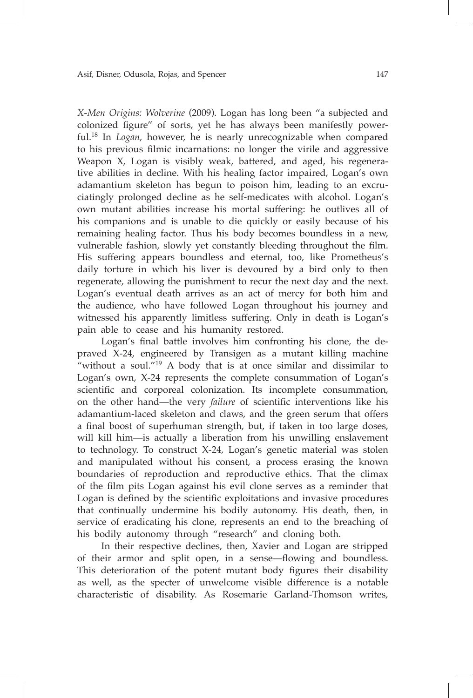*X-Men Origins: Wolverine* (2009). Logan has long been "a subjected and colonized figure" of sorts, yet he has always been manifestly powerful.18 In *Logan*, however, he is nearly unrecognizable when compared to his previous filmic incarnations: no longer the virile and aggressive Weapon X, Logan is visibly weak, battered, and aged, his regenerative abilities in decline. With his healing factor impaired, Logan's own adamantium skeleton has begun to poison him, leading to an excruciatingly prolonged decline as he self-medicates with alcohol. Logan's own mutant abilities increase his mortal suffering: he outlives all of his companions and is unable to die quickly or easily because of his remaining healing factor. Thus his body becomes boundless in a new, vulnerable fashion, slowly yet constantly bleeding throughout the film. His suffering appears boundless and eternal, too, like Prometheus's daily torture in which his liver is devoured by a bird only to then regenerate, allowing the punishment to recur the next day and the next. Logan's eventual death arrives as an act of mercy for both him and the audience, who have followed Logan throughout his journey and witnessed his apparently limitless suffering. Only in death is Logan's pain able to cease and his humanity restored.

Logan's final battle involves him confronting his clone, the depraved X-24, engineered by Transigen as a mutant killing machine "without a soul." $19$  A body that is at once similar and dissimilar to Logan's own, X-24 represents the complete consummation of Logan's scientific and corporeal colonization. Its incomplete consummation, on the other hand—the very *failure* of scientific interventions like his adamantium-laced skeleton and claws, and the green serum that offers a final boost of superhuman strength, but, if taken in too large doses, will kill him—is actually a liberation from his unwilling enslavement to technology. To construct X-24, Logan's genetic material was stolen and manipulated without his consent, a process erasing the known boundaries of reproduction and reproductive ethics. That the climax of the film pits Logan against his evil clone serves as a reminder that Logan is defined by the scientific exploitations and invasive procedures that continually undermine his bodily autonomy. His death, then, in service of eradicating his clone, represents an end to the breaching of his bodily autonomy through "research" and cloning both.

In their respective declines, then, Xavier and Logan are stripped of their armor and split open, in a sense—flowing and boundless. This deterioration of the potent mutant body figures their disability as well, as the specter of unwelcome visible difference is a notable characteristic of disability. As Rosemarie Garland-Thomson writes,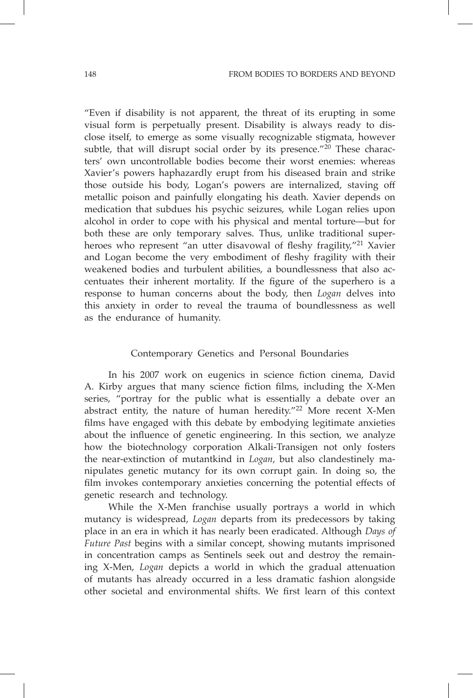"Even if disability is not apparent, the threat of its erupting in some visual form is perpetually present. Disability is always ready to disclose itself, to emerge as some visually recognizable stigmata, however subtle, that will disrupt social order by its presence." $^{20}$  These characters' own uncontrollable bodies become their worst enemies: whereas Xavier's powers haphazardly erupt from his diseased brain and strike those outside his body, Logan's powers are internalized, staving off metallic poison and painfully elongating his death. Xavier depends on medication that subdues his psychic seizures, while Logan relies upon alcohol in order to cope with his physical and mental torture—but for both these are only temporary salves. Thus, unlike traditional superheroes who represent "an utter disavowal of fleshy fragility,"<sup>21</sup> Xavier and Logan become the very embodiment of fleshy fragility with their weakened bodies and turbulent abilities, a boundlessness that also accentuates their inherent mortality. If the figure of the superhero is a response to human concerns about the body, then *Logan* delves into this anxiety in order to reveal the trauma of boundlessness as well as the endurance of humanity.

### Contemporary Genetics and Personal Boundaries

In his 2007 work on eugenics in science fiction cinema, David A. Kirby argues that many science fiction films, including the X-Men series, "portray for the public what is essentially a debate over an abstract entity, the nature of human heredity."22 More recent X-Men films have engaged with this debate by embodying legitimate anxieties about the influence of genetic engineering. In this section, we analyze how the biotechnology corporation Alkali-Transigen not only fosters the near-extinction of mutantkind in *Logan*, but also clandestinely manipulates genetic mutancy for its own corrupt gain. In doing so, the film invokes contemporary anxieties concerning the potential effects of genetic research and technology.

While the X-Men franchise usually portrays a world in which mutancy is widespread, *Logan* departs from its predecessors by taking place in an era in which it has nearly been eradicated. Although *Days of Future Past* begins with a similar concept, showing mutants imprisoned in concentration camps as Sentinels seek out and destroy the remaining X-Men, *Logan* depicts a world in which the gradual attenuation of mutants has already occurred in a less dramatic fashion alongside other societal and environmental shifts. We first learn of this context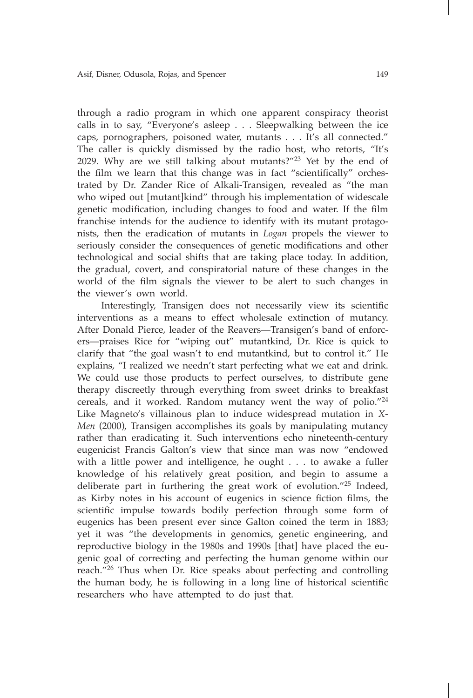through a radio program in which one apparent conspiracy theorist calls in to say, "Everyone's asleep . . . Sleepwalking between the ice caps, pornographers, poisoned water, mutants . . . It's all connected." The caller is quickly dismissed by the radio host, who retorts, "It's 2029. Why are we still talking about mutants?"23 Yet by the end of the film we learn that this change was in fact "scientifically" orchestrated by Dr. Zander Rice of Alkali-Transigen, revealed as "the man who wiped out [mutant]kind" through his implementation of widescale genetic modification, including changes to food and water. If the film franchise intends for the audience to identify with its mutant protagonists, then the eradication of mutants in *Logan* propels the viewer to seriously consider the consequences of genetic modifications and other technological and social shifts that are taking place today. In addition, the gradual, covert, and conspiratorial nature of these changes in the world of the film signals the viewer to be alert to such changes in the viewer's own world.

Interestingly, Transigen does not necessarily view its scientific interventions as a means to effect wholesale extinction of mutancy. After Donald Pierce, leader of the Reavers—Transigen's band of enforcers—praises Rice for "wiping out" mutantkind, Dr. Rice is quick to clarify that "the goal wasn't to end mutantkind, but to control it." He explains, "I realized we needn't start perfecting what we eat and drink. We could use those products to perfect ourselves, to distribute gene therapy discreetly through everything from sweet drinks to breakfast cereals, and it worked. Random mutancy went the way of polio."24 Like Magneto's villainous plan to induce widespread mutation in *X-Men* (2000), Transigen accomplishes its goals by manipulating mutancy rather than eradicating it. Such interventions echo nineteenth-century eugenicist Francis Galton's view that since man was now "endowed with a little power and intelligence, he ought . . . to awake a fuller knowledge of his relatively great position, and begin to assume a deliberate part in furthering the great work of evolution."25 Indeed, as Kirby notes in his account of eugenics in science fiction films, the scientific impulse towards bodily perfection through some form of eugenics has been present ever since Galton coined the term in 1883; yet it was "the developments in genomics, genetic engineering, and reproductive biology in the 1980s and 1990s [that] have placed the eugenic goal of correcting and perfecting the human genome within our reach."26 Thus when Dr. Rice speaks about perfecting and controlling the human body, he is following in a long line of historical scientific researchers who have attempted to do just that.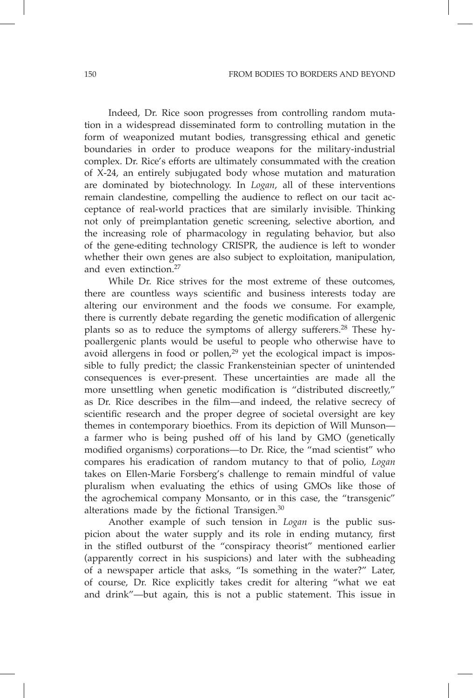Indeed, Dr. Rice soon progresses from controlling random mutation in a widespread disseminated form to controlling mutation in the form of weaponized mutant bodies, transgressing ethical and genetic boundaries in order to produce weapons for the military-industrial complex. Dr. Rice's efforts are ultimately consummated with the creation of X-24, an entirely subjugated body whose mutation and maturation are dominated by biotechnology. In *Logan*, all of these interventions remain clandestine, compelling the audience to reflect on our tacit acceptance of real-world practices that are similarly invisible. Thinking not only of preimplantation genetic screening, selective abortion, and the increasing role of pharmacology in regulating behavior, but also of the gene-editing technology CRISPR, the audience is left to wonder whether their own genes are also subject to exploitation, manipulation, and even extinction. $27$ 

While Dr. Rice strives for the most extreme of these outcomes, there are countless ways scientific and business interests today are altering our environment and the foods we consume. For example, there is currently debate regarding the genetic modification of allergenic plants so as to reduce the symptoms of allergy sufferers.<sup>28</sup> These hypoallergenic plants would be useful to people who otherwise have to avoid allergens in food or pollen, $29$  yet the ecological impact is impossible to fully predict; the classic Frankensteinian specter of unintended consequences is ever-present. These uncertainties are made all the more unsettling when genetic modification is "distributed discreetly," as Dr. Rice describes in the film—and indeed, the relative secrecy of scientific research and the proper degree of societal oversight are key themes in contemporary bioethics. From its depiction of Will Munson a farmer who is being pushed off of his land by GMO (genetically modified organisms) corporations—to Dr. Rice, the "mad scientist" who compares his eradication of random mutancy to that of polio, *Logan* takes on Ellen-Marie Forsberg's challenge to remain mindful of value pluralism when evaluating the ethics of using GMOs like those of the agrochemical company Monsanto, or in this case, the "transgenic" alterations made by the fictional Transigen.<sup>30</sup>

Another example of such tension in *Logan* is the public suspicion about the water supply and its role in ending mutancy, first in the stifled outburst of the "conspiracy theorist" mentioned earlier (apparently correct in his suspicions) and later with the subheading of a newspaper article that asks, "Is something in the water?" Later, of course, Dr. Rice explicitly takes credit for altering "what we eat and drink"—but again, this is not a public statement. This issue in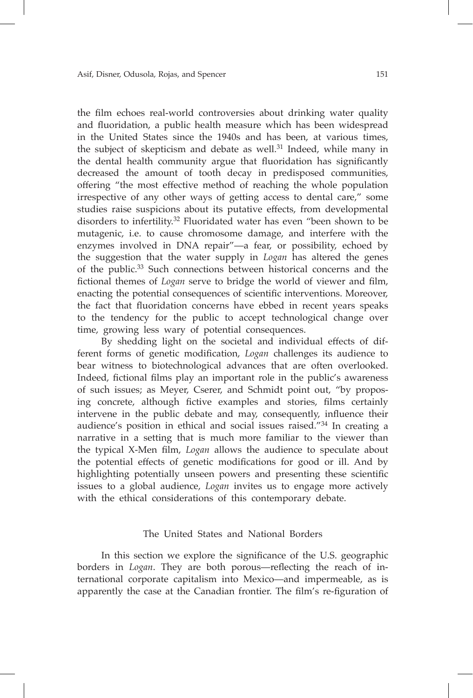the film echoes real-world controversies about drinking water quality and fluoridation, a public health measure which has been widespread in the United States since the 1940s and has been, at various times, the subject of skepticism and debate as well.<sup>31</sup> Indeed, while many in the dental health community argue that fluoridation has significantly decreased the amount of tooth decay in predisposed communities, offering "the most effective method of reaching the whole population irrespective of any other ways of getting access to dental care," some studies raise suspicions about its putative effects, from developmental disorders to infertility.32 Fluoridated water has even "been shown to be mutagenic, i.e. to cause chromosome damage, and interfere with the enzymes involved in DNA repair"—a fear, or possibility, echoed by the suggestion that the water supply in *Logan* has altered the genes of the public.33 Such connections between historical concerns and the fictional themes of *Logan* serve to bridge the world of viewer and film, enacting the potential consequences of scientific interventions. Moreover, the fact that fluoridation concerns have ebbed in recent years speaks to the tendency for the public to accept technological change over time, growing less wary of potential consequences.

By shedding light on the societal and individual effects of different forms of genetic modification, *Logan* challenges its audience to bear witness to biotechnological advances that are often overlooked. Indeed, fictional films play an important role in the public's awareness of such issues; as Meyer, Cserer, and Schmidt point out, "by proposing concrete, although fictive examples and stories, films certainly intervene in the public debate and may, consequently, influence their audience's position in ethical and social issues raised."34 In creating a narrative in a setting that is much more familiar to the viewer than the typical X-Men film, *Logan* allows the audience to speculate about the potential effects of genetic modifications for good or ill. And by highlighting potentially unseen powers and presenting these scientific issues to a global audience, *Logan* invites us to engage more actively with the ethical considerations of this contemporary debate.

### The United States and National Borders

In this section we explore the significance of the U.S. geographic borders in *Logan*. They are both porous—reflecting the reach of international corporate capitalism into Mexico—and impermeable, as is apparently the case at the Canadian frontier. The film's re-figuration of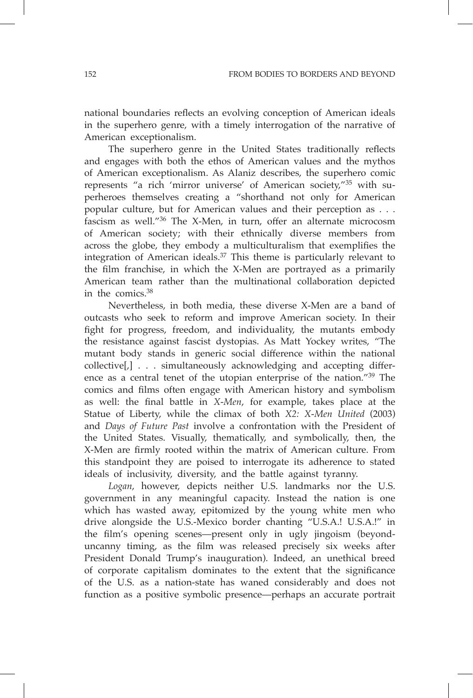national boundaries reflects an evolving conception of American ideals in the superhero genre, with a timely interrogation of the narrative of American exceptionalism.

The superhero genre in the United States traditionally reflects and engages with both the ethos of American values and the mythos of American exceptionalism. As Alaniz describes, the superhero comic represents "a rich 'mirror universe' of American society,"35 with superheroes themselves creating a "shorthand not only for American popular culture, but for American values and their perception as . . . fascism as well."36 The X-Men, in turn, offer an alternate microcosm of American society; with their ethnically diverse members from across the globe, they embody a multiculturalism that exemplifies the integration of American ideals.37 This theme is particularly relevant to the film franchise, in which the X-Men are portrayed as a primarily American team rather than the multinational collaboration depicted in the comics.38

Nevertheless, in both media, these diverse X-Men are a band of outcasts who seek to reform and improve American society. In their fight for progress, freedom, and individuality, the mutants embody the resistance against fascist dystopias. As Matt Yockey writes, "The mutant body stands in generic social difference within the national collective[,] . . . simultaneously acknowledging and accepting difference as a central tenet of the utopian enterprise of the nation."39 The comics and films often engage with American history and symbolism as well: the final battle in *X-Men*, for example, takes place at the Statue of Liberty, while the climax of both *X2: X-Men United* (2003) and *Days of Future Past* involve a confrontation with the President of the United States. Visually, thematically, and symbolically, then, the X-Men are firmly rooted within the matrix of American culture. From this standpoint they are poised to interrogate its adherence to stated ideals of inclusivity, diversity, and the battle against tyranny.

*Logan*, however, depicts neither U.S. landmarks nor the U.S. government in any meaningful capacity. Instead the nation is one which has wasted away, epitomized by the young white men who drive alongside the U.S.-Mexico border chanting "U.S.A.! U.S.A.!" in the film's opening scenes—present only in ugly jingoism (beyonduncanny timing, as the film was released precisely six weeks after President Donald Trump's inauguration). Indeed, an unethical breed of corporate capitalism dominates to the extent that the significance of the U.S. as a nation-state has waned considerably and does not function as a positive symbolic presence—perhaps an accurate portrait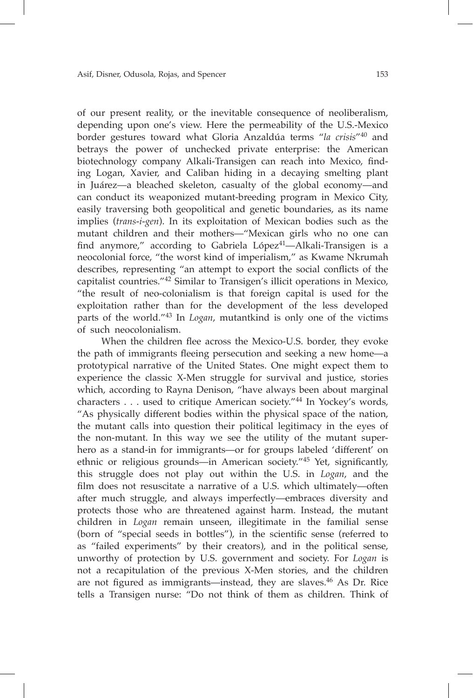of our present reality, or the inevitable consequence of neoliberalism, depending upon one's view. Here the permeability of the U.S.-Mexico border gestures toward what Gloria Anzaldúa terms "*la crisis*"40 and betrays the power of unchecked private enterprise: the American biotechnology company Alkali-Transigen can reach into Mexico, finding Logan, Xavier, and Caliban hiding in a decaying smelting plant in Juárez—a bleached skeleton, casualty of the global economy—and can conduct its weaponized mutant-breeding program in Mexico City, easily traversing both geopolitical and genetic boundaries, as its name implies (*trans-i-gen*). In its exploitation of Mexican bodies such as the mutant children and their mothers—"Mexican girls who no one can find anymore," according to Gabriela López<sup>41</sup>-Alkali-Transigen is a neocolonial force, "the worst kind of imperialism," as Kwame Nkrumah describes, representing "an attempt to export the social conflicts of the capitalist countries."42 Similar to Transigen's illicit operations in Mexico, "the result of neo-colonialism is that foreign capital is used for the exploitation rather than for the development of the less developed parts of the world."43 In *Logan*, mutantkind is only one of the victims of such neocolonialism.

When the children flee across the Mexico-U.S. border, they evoke the path of immigrants fleeing persecution and seeking a new home—a prototypical narrative of the United States. One might expect them to experience the classic X-Men struggle for survival and justice, stories which, according to Rayna Denison, "have always been about marginal characters . . . used to critique American society."44 In Yockey's words, "As physically different bodies within the physical space of the nation, the mutant calls into question their political legitimacy in the eyes of the non-mutant. In this way we see the utility of the mutant superhero as a stand-in for immigrants—or for groups labeled 'different' on ethnic or religious grounds—in American society."45 Yet, significantly, this struggle does not play out within the U.S. in *Logan*, and the film does not resuscitate a narrative of a U.S. which ultimately—often after much struggle, and always imperfectly—embraces diversity and protects those who are threatened against harm. Instead, the mutant children in *Logan* remain unseen, illegitimate in the familial sense (born of "special seeds in bottles"), in the scientific sense (referred to as "failed experiments" by their creators), and in the political sense, unworthy of protection by U.S. government and society. For *Logan* is not a recapitulation of the previous X-Men stories, and the children are not figured as immigrants—instead, they are slaves.<sup>46</sup> As Dr. Rice tells a Transigen nurse: "Do not think of them as children. Think of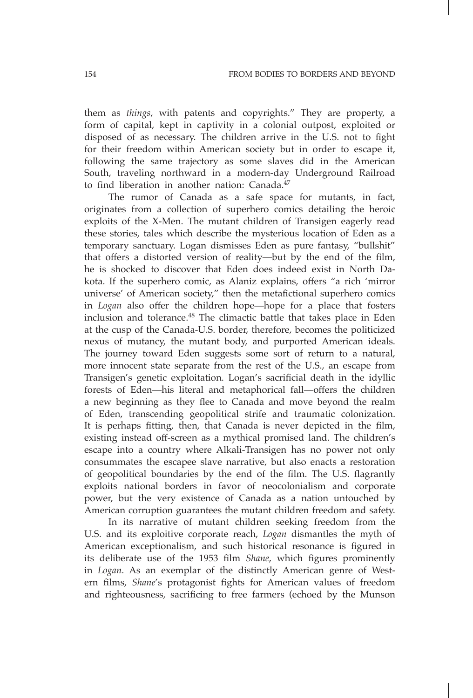them as *things*, with patents and copyrights." They are property, a form of capital, kept in captivity in a colonial outpost, exploited or disposed of as necessary. The children arrive in the U.S. not to fight for their freedom within American society but in order to escape it, following the same trajectory as some slaves did in the American South, traveling northward in a modern-day Underground Railroad to find liberation in another nation: Canada.<sup>47</sup>

The rumor of Canada as a safe space for mutants, in fact, originates from a collection of superhero comics detailing the heroic exploits of the X-Men. The mutant children of Transigen eagerly read these stories, tales which describe the mysterious location of Eden as a temporary sanctuary. Logan dismisses Eden as pure fantasy, "bullshit" that offers a distorted version of reality—but by the end of the film, he is shocked to discover that Eden does indeed exist in North Dakota. If the superhero comic, as Alaniz explains, offers "a rich 'mirror universe' of American society," then the metafictional superhero comics in *Logan* also offer the children hope—hope for a place that fosters inclusion and tolerance.<sup>48</sup> The climactic battle that takes place in Eden at the cusp of the Canada-U.S. border, therefore, becomes the politicized nexus of mutancy, the mutant body, and purported American ideals. The journey toward Eden suggests some sort of return to a natural, more innocent state separate from the rest of the U.S., an escape from Transigen's genetic exploitation. Logan's sacrificial death in the idyllic forests of Eden—his literal and metaphorical fall—offers the children a new beginning as they flee to Canada and move beyond the realm of Eden, transcending geopolitical strife and traumatic colonization. It is perhaps fitting, then, that Canada is never depicted in the film, existing instead off-screen as a mythical promised land. The children's escape into a country where Alkali-Transigen has no power not only consummates the escapee slave narrative, but also enacts a restoration of geopolitical boundaries by the end of the film. The U.S. flagrantly exploits national borders in favor of neocolonialism and corporate power, but the very existence of Canada as a nation untouched by American corruption guarantees the mutant children freedom and safety.

In its narrative of mutant children seeking freedom from the U.S. and its exploitive corporate reach, *Logan* dismantles the myth of American exceptionalism, and such historical resonance is figured in its deliberate use of the 1953 film *Shane*, which figures prominently in *Logan*. As an exemplar of the distinctly American genre of Western films, *Shane*'s protagonist fights for American values of freedom and righteousness, sacrificing to free farmers (echoed by the Munson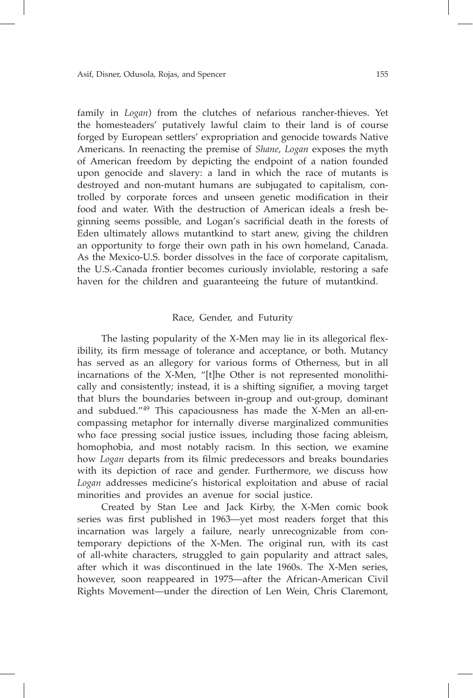family in *Logan*) from the clutches of nefarious rancher-thieves. Yet the homesteaders' putatively lawful claim to their land is of course forged by European settlers' expropriation and genocide towards Native Americans. In reenacting the premise of *Shane*, *Logan* exposes the myth of American freedom by depicting the endpoint of a nation founded upon genocide and slavery: a land in which the race of mutants is destroyed and non-mutant humans are subjugated to capitalism, controlled by corporate forces and unseen genetic modification in their food and water. With the destruction of American ideals a fresh beginning seems possible, and Logan's sacrificial death in the forests of Eden ultimately allows mutantkind to start anew, giving the children an opportunity to forge their own path in his own homeland, Canada. As the Mexico-U.S. border dissolves in the face of corporate capitalism, the U.S.-Canada frontier becomes curiously inviolable, restoring a safe haven for the children and guaranteeing the future of mutantkind.

# Race, Gender, and Futurity

The lasting popularity of the X-Men may lie in its allegorical flexibility, its firm message of tolerance and acceptance, or both. Mutancy has served as an allegory for various forms of Otherness, but in all incarnations of the X-Men, "[t]he Other is not represented monolithically and consistently; instead, it is a shifting signifier, a moving target that blurs the boundaries between in-group and out-group, dominant and subdued."49 This capaciousness has made the X-Men an all-encompassing metaphor for internally diverse marginalized communities who face pressing social justice issues, including those facing ableism, homophobia, and most notably racism. In this section, we examine how *Logan* departs from its filmic predecessors and breaks boundaries with its depiction of race and gender. Furthermore, we discuss how *Logan* addresses medicine's historical exploitation and abuse of racial minorities and provides an avenue for social justice.

Created by Stan Lee and Jack Kirby, the X-Men comic book series was first published in 1963—yet most readers forget that this incarnation was largely a failure, nearly unrecognizable from contemporary depictions of the X-Men. The original run, with its cast of all-white characters, struggled to gain popularity and attract sales, after which it was discontinued in the late 1960s. The X-Men series, however, soon reappeared in 1975—after the African-American Civil Rights Movement—under the direction of Len Wein, Chris Claremont,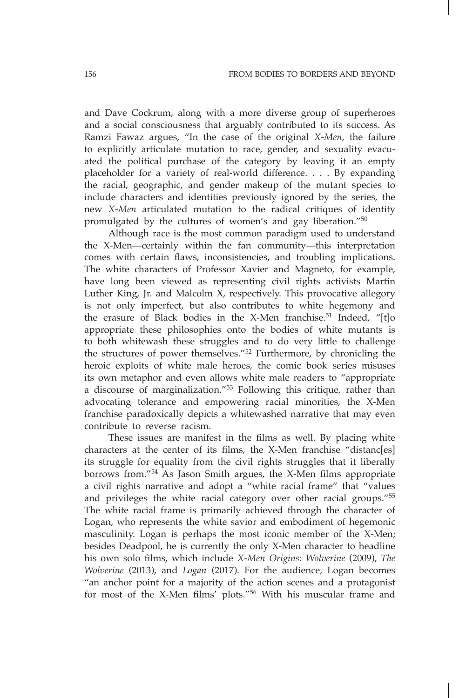and Dave Cockrum, along with a more diverse group of superheroes and a social consciousness that arguably contributed to its success. As Ramzi Fawaz argues, "In the case of the original *X-Men*, the failure to explicitly articulate mutation to race, gender, and sexuality evacuated the political purchase of the category by leaving it an empty placeholder for a variety of real-world difference. . . . By expanding the racial, geographic, and gender makeup of the mutant species to include characters and identities previously ignored by the series, the new *X-Men* articulated mutation to the radical critiques of identity promulgated by the cultures of women's and gay liberation."<sup>50</sup>

Although race is the most common paradigm used to understand the X-Men—certainly within the fan community—this interpretation comes with certain flaws, inconsistencies, and troubling implications. The white characters of Professor Xavier and Magneto, for example, have long been viewed as representing civil rights activists Martin Luther King, Jr. and Malcolm  $\hat{X}$ , respectively. This provocative allegory is not only imperfect, but also contributes to white hegemony and the erasure of Black bodies in the X-Men franchise.<sup>51</sup> Indeed, "[t]o appropriate these philosophies onto the bodies of white mutants is to both whitewash these struggles and to do very little to challenge the structures of power themselves."52 Furthermore, by chronicling the heroic exploits of white male heroes, the comic book series misuses its own metaphor and even allows white male readers to "appropriate a discourse of marginalization."53 Following this critique, rather than advocating tolerance and empowering racial minorities, the X-Men franchise paradoxically depicts a whitewashed narrative that may even contribute to reverse racism.

These issues are manifest in the films as well. By placing white characters at the center of its films, the X-Men franchise "distanc[es] its struggle for equality from the civil rights struggles that it liberally borrows from."54 As Jason Smith argues, the X-Men films appropriate a civil rights narrative and adopt a "white racial frame" that "values and privileges the white racial category over other racial groups."<sup>55</sup> The white racial frame is primarily achieved through the character of Logan, who represents the white savior and embodiment of hegemonic masculinity. Logan is perhaps the most iconic member of the X-Men; besides Deadpool, he is currently the only X-Men character to headline his own solo films, which include *X-Men Origins: Wolverine* (2009), *The Wolverine* (2013), and *Logan* (2017). For the audience, Logan becomes "an anchor point for a majority of the action scenes and a protagonist for most of the X-Men films' plots."56 With his muscular frame and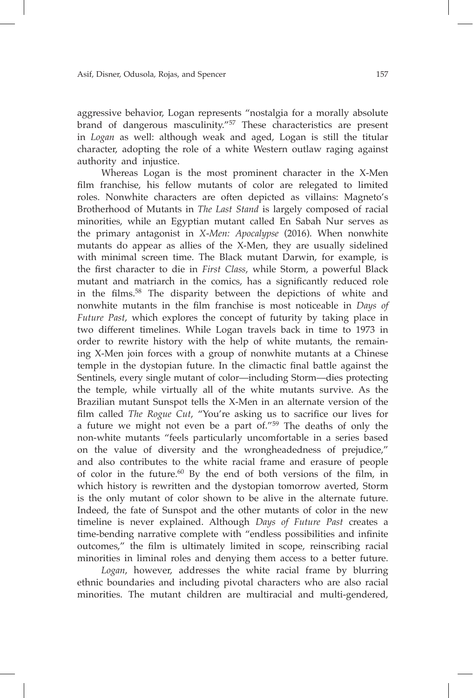aggressive behavior, Logan represents "nostalgia for a morally absolute brand of dangerous masculinity."57 These characteristics are present in *Logan* as well: although weak and aged, Logan is still the titular character, adopting the role of a white Western outlaw raging against authority and injustice.

Whereas Logan is the most prominent character in the X-Men film franchise, his fellow mutants of color are relegated to limited roles. Nonwhite characters are often depicted as villains: Magneto's Brotherhood of Mutants in *The Last Stand* is largely composed of racial minorities, while an Egyptian mutant called En Sabah Nur serves as the primary antagonist in *X-Men: Apocalypse* (2016). When nonwhite mutants do appear as allies of the X-Men, they are usually sidelined with minimal screen time. The Black mutant Darwin, for example, is the first character to die in *First Class*, while Storm, a powerful Black mutant and matriarch in the comics, has a significantly reduced role in the films.58 The disparity between the depictions of white and nonwhite mutants in the film franchise is most noticeable in *Days of Future Past*, which explores the concept of futurity by taking place in two different timelines. While Logan travels back in time to 1973 in order to rewrite history with the help of white mutants, the remaining X-Men join forces with a group of nonwhite mutants at a Chinese temple in the dystopian future. In the climactic final battle against the Sentinels, every single mutant of color—including Storm—dies protecting the temple, while virtually all of the white mutants survive. As the Brazilian mutant Sunspot tells the X-Men in an alternate version of the film called *The Rogue Cut*, "You're asking us to sacrifice our lives for a future we might not even be a part of."59 The deaths of only the non-white mutants "feels particularly uncomfortable in a series based on the value of diversity and the wrongheadedness of prejudice," and also contributes to the white racial frame and erasure of people of color in the future.60 By the end of both versions of the film, in which history is rewritten and the dystopian tomorrow averted, Storm is the only mutant of color shown to be alive in the alternate future. Indeed, the fate of Sunspot and the other mutants of color in the new timeline is never explained. Although *Days of Future Past* creates a time-bending narrative complete with "endless possibilities and infinite outcomes," the film is ultimately limited in scope, reinscribing racial minorities in liminal roles and denying them access to a better future.

*Logan*, however, addresses the white racial frame by blurring ethnic boundaries and including pivotal characters who are also racial minorities. The mutant children are multiracial and multi-gendered,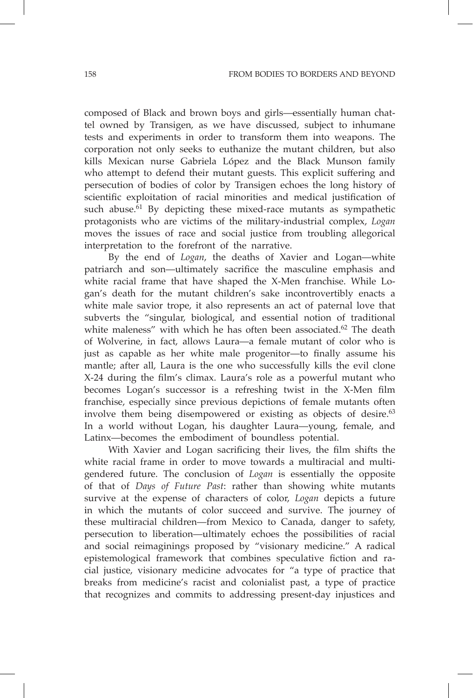composed of Black and brown boys and girls—essentially human chattel owned by Transigen, as we have discussed, subject to inhumane tests and experiments in order to transform them into weapons. The corporation not only seeks to euthanize the mutant children, but also kills Mexican nurse Gabriela López and the Black Munson family who attempt to defend their mutant guests. This explicit suffering and persecution of bodies of color by Transigen echoes the long history of scientific exploitation of racial minorities and medical justification of such abuse. $61$  By depicting these mixed-race mutants as sympathetic protagonists who are victims of the military-industrial complex, *Logan*  moves the issues of race and social justice from troubling allegorical interpretation to the forefront of the narrative.

By the end of *Logan*, the deaths of Xavier and Logan—white patriarch and son—ultimately sacrifice the masculine emphasis and white racial frame that have shaped the X-Men franchise. While Logan's death for the mutant children's sake incontrovertibly enacts a white male savior trope, it also represents an act of paternal love that subverts the "singular, biological, and essential notion of traditional white maleness" with which he has often been associated.<sup>62</sup> The death of Wolverine, in fact, allows Laura—a female mutant of color who is just as capable as her white male progenitor—to finally assume his mantle; after all, Laura is the one who successfully kills the evil clone X-24 during the film's climax. Laura's role as a powerful mutant who becomes Logan's successor is a refreshing twist in the X-Men film franchise, especially since previous depictions of female mutants often involve them being disempowered or existing as objects of desire.<sup>63</sup> In a world without Logan, his daughter Laura—young, female, and Latinx—becomes the embodiment of boundless potential.

With Xavier and Logan sacrificing their lives, the film shifts the white racial frame in order to move towards a multiracial and multigendered future. The conclusion of *Logan* is essentially the opposite of that of *Days of Future Past*: rather than showing white mutants survive at the expense of characters of color, *Logan* depicts a future in which the mutants of color succeed and survive. The journey of these multiracial children—from Mexico to Canada, danger to safety, persecution to liberation—ultimately echoes the possibilities of racial and social reimaginings proposed by "visionary medicine." A radical epistemological framework that combines speculative fiction and racial justice, visionary medicine advocates for "a type of practice that breaks from medicine's racist and colonialist past, a type of practice that recognizes and commits to addressing present-day injustices and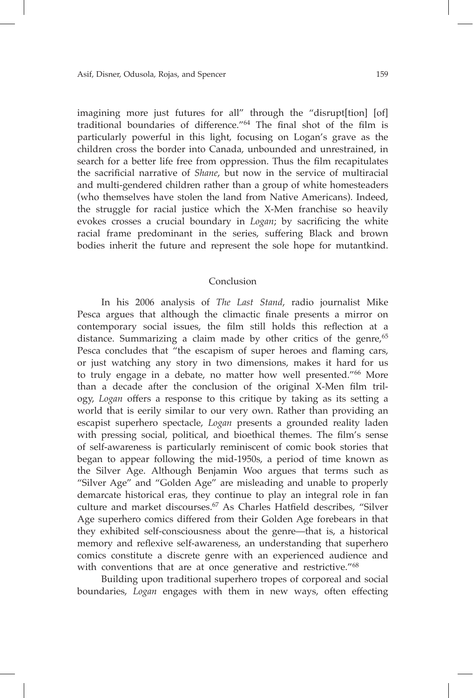imagining more just futures for all" through the "disrupt[tion] [of] traditional boundaries of difference."<sup>64</sup> The final shot of the film is particularly powerful in this light, focusing on Logan's grave as the children cross the border into Canada, unbounded and unrestrained, in search for a better life free from oppression. Thus the film recapitulates the sacrificial narrative of *Shane*, but now in the service of multiracial and multi-gendered children rather than a group of white homesteaders (who themselves have stolen the land from Native Americans). Indeed, the struggle for racial justice which the X-Men franchise so heavily evokes crosses a crucial boundary in *Logan*; by sacrificing the white racial frame predominant in the series, suffering Black and brown bodies inherit the future and represent the sole hope for mutantkind.

## Conclusion

In his 2006 analysis of *The Last Stand*, radio journalist Mike Pesca argues that although the climactic finale presents a mirror on contemporary social issues, the film still holds this reflection at a distance. Summarizing a claim made by other critics of the genre, $65$ Pesca concludes that "the escapism of super heroes and flaming cars, or just watching any story in two dimensions, makes it hard for us to truly engage in a debate, no matter how well presented."<sup>66</sup> More than a decade after the conclusion of the original X-Men film trilogy, *Logan* offers a response to this critique by taking as its setting a world that is eerily similar to our very own. Rather than providing an escapist superhero spectacle, *Logan* presents a grounded reality laden with pressing social, political, and bioethical themes. The film's sense of self-awareness is particularly reminiscent of comic book stories that began to appear following the mid-1950s, a period of time known as the Silver Age. Although Benjamin Woo argues that terms such as "Silver Age" and "Golden Age" are misleading and unable to properly demarcate historical eras, they continue to play an integral role in fan culture and market discourses.<sup>67</sup> As Charles Hatfield describes, "Silver Age superhero comics differed from their Golden Age forebears in that they exhibited self-consciousness about the genre—that is, a historical memory and reflexive self-awareness, an understanding that superhero comics constitute a discrete genre with an experienced audience and with conventions that are at once generative and restrictive."<sup>68</sup>

Building upon traditional superhero tropes of corporeal and social boundaries, *Logan* engages with them in new ways, often effecting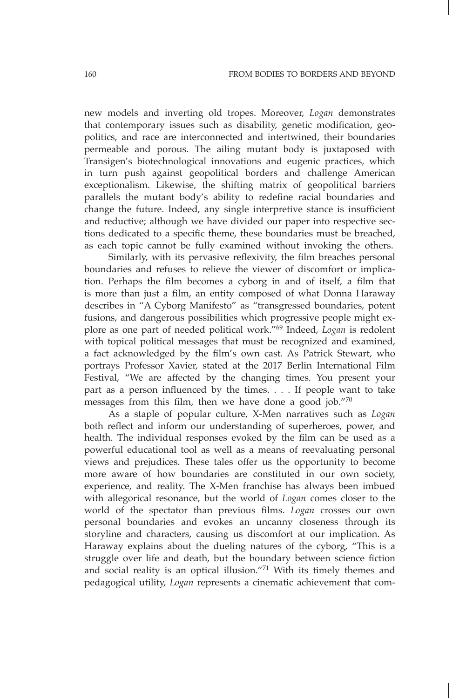new models and inverting old tropes. Moreover, *Logan* demonstrates that contemporary issues such as disability, genetic modification, geopolitics, and race are interconnected and intertwined, their boundaries permeable and porous. The ailing mutant body is juxtaposed with Transigen's biotechnological innovations and eugenic practices, which in turn push against geopolitical borders and challenge American exceptionalism. Likewise, the shifting matrix of geopolitical barriers parallels the mutant body's ability to redefine racial boundaries and change the future. Indeed, any single interpretive stance is insufficient and reductive; although we have divided our paper into respective sections dedicated to a specific theme, these boundaries must be breached, as each topic cannot be fully examined without invoking the others.

Similarly, with its pervasive reflexivity, the film breaches personal boundaries and refuses to relieve the viewer of discomfort or implication. Perhaps the film becomes a cyborg in and of itself, a film that is more than just a film, an entity composed of what Donna Haraway describes in "A Cyborg Manifesto" as "transgressed boundaries, potent fusions, and dangerous possibilities which progressive people might explore as one part of needed political work."69 Indeed, *Logan* is redolent with topical political messages that must be recognized and examined, a fact acknowledged by the film's own cast. As Patrick Stewart, who portrays Professor Xavier, stated at the 2017 Berlin International Film Festival, "We are affected by the changing times. You present your part as a person influenced by the times. . . . If people want to take messages from this film, then we have done a good job."<sup>70</sup>

As a staple of popular culture, X-Men narratives such as *Logan*  both reflect and inform our understanding of superheroes, power, and health. The individual responses evoked by the film can be used as a powerful educational tool as well as a means of reevaluating personal views and prejudices. These tales offer us the opportunity to become more aware of how boundaries are constituted in our own society, experience, and reality. The X-Men franchise has always been imbued with allegorical resonance, but the world of *Logan* comes closer to the world of the spectator than previous films. *Logan* crosses our own personal boundaries and evokes an uncanny closeness through its storyline and characters, causing us discomfort at our implication. As Haraway explains about the dueling natures of the cyborg, "This is a struggle over life and death, but the boundary between science fiction and social reality is an optical illusion."71 With its timely themes and pedagogical utility, *Logan* represents a cinematic achievement that com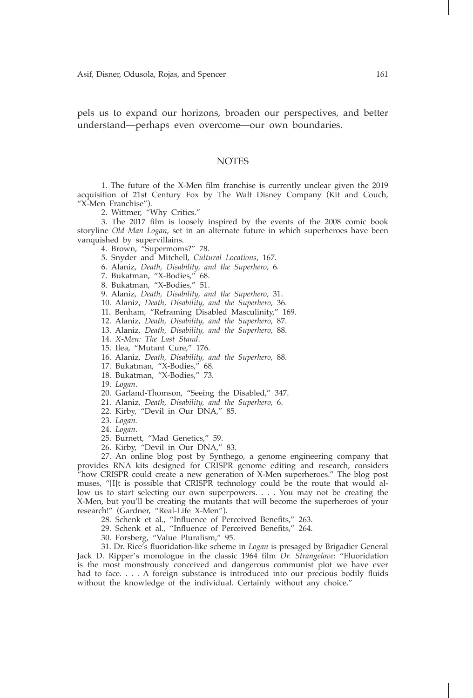pels us to expand our horizons, broaden our perspectives, and better understand—perhaps even overcome—our own boundaries.

### **NOTES**

1. The future of the X-Men film franchise is currently unclear given the 2019 acquisition of 21st Century Fox by The Walt Disney Company (Kit and Couch, "X-Men Franchise").

2. Wittmer, "Why Critics."

3. The 2017 film is loosely inspired by the events of the 2008 comic book storyline *Old Man Logan*, set in an alternate future in which superheroes have been vanquished by supervillains.

- 4. Brown, "Supermoms?" 78.
- 5. Snyder and Mitchell, *Cultural Locations*, 167.
- 6. Alaniz, *Death, Disability, and the Superhero*, 6.
- 7. Bukatman, "X-Bodies," 68.
- 8. Bukatman, "X-Bodies," 51.
- 9. Alaniz, *Death, Disability, and the Superhero*, 31.
- 10. Alaniz, *Death, Disability, and the Superhero*, 36.
- 11. Benham, "Reframing Disabled Masculinity," 169.
- 12. Alaniz, *Death, Disability, and the Superhero*, 87.
- 13. Alaniz, *Death, Disability, and the Superhero*, 88.
- 14. *X-Men: The Last Stand*.
- 15. Ilea, "Mutant Cure," 176.
- 16. Alaniz, *Death, Disability, and the Superhero*, 88.
- 17. Bukatman, "X-Bodies," 68.
- 18. Bukatman, "X-Bodies," 73.
- 19. *Logan*.
- 20. Garland-Thomson, "Seeing the Disabled," 347.
- 21. Alaniz, *Death, Disability, and the Superhero*, 6.
- 22. Kirby, "Devil in Our DNA," 85.
- 23. *Logan.*
- 24. *Logan*.
- 25. Burnett, "Mad Genetics," 59.
- 26. Kirby, "Devil in Our DNA," 83.

27. An online blog post by Synthego, a genome engineering company that provides RNA kits designed for CRISPR genome editing and research, considers "how CRISPR could create a new generation of X-Men superheroes." The blog post muses, "[I]t is possible that CRISPR technology could be the route that would allow us to start selecting our own superpowers. . . . You may not be creating the X-Men, but you'll be creating the mutants that will become the superheroes of your research!" (Gardner, "Real-Life X-Men").

28. Schenk et al., "Influence of Perceived Benefits," 263.

29. Schenk et al., "Influence of Perceived Benefits," 264.

30. Forsberg, "Value Pluralism," 95.

31. Dr. Rice's fluoridation-like scheme in *Logan* is presaged by Brigadier General Jack D. Ripper's monologue in the classic 1964 film *Dr. Strangelove*: "Fluoridation is the most monstrously conceived and dangerous communist plot we have ever had to face. . . . A foreign substance is introduced into our precious bodily fluids without the knowledge of the individual. Certainly without any choice."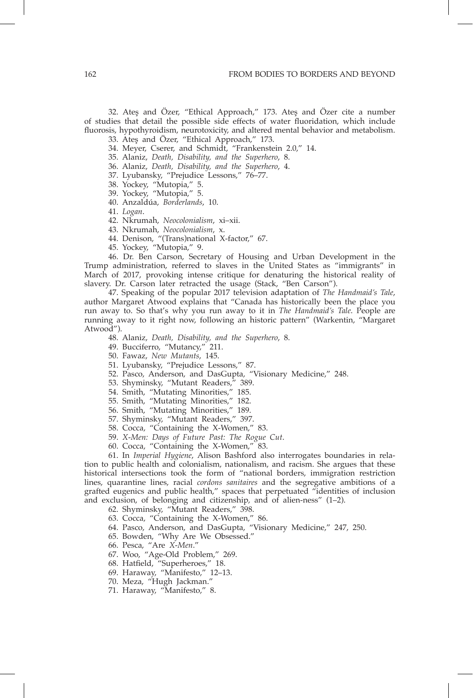32. Ateş and Özer, "Ethical Approach," 173. Ateş and Özer cite a number of studies that detail the possible side effects of water fluoridation, which include fluorosis, hypothyroidism, neurotoxicity, and altered mental behavior and metabolism. 33. Ateş and Özer, "Ethical Approach," 173.

34. Meyer, Cserer, and Schmidt, "Frankenstein 2.0," 14.

35. Alaniz, *Death, Disability, and the Superhero*, 8.

36. Alaniz, *Death, Disability, and the Superhero*, 4.

37. Lyubansky, "Prejudice Lessons," 76–77.

38. Yockey, "Mutopia," 5.

39. Yockey, "Mutopia," 5.

40. Anzaldúa, *Borderlands*, 10.

41. *Logan*.

42. Nkrumah, *Neocolonialism*, xi–xii.

43. Nkrumah, *Neocolonialism*, x.

44. Denison, "(Trans)national X-factor," 67.

45. Yockey, "Mutopia," 9.

46. Dr. Ben Carson, Secretary of Housing and Urban Development in the Trump administration, referred to slaves in the United States as "immigrants" in March of 2017, provoking intense critique for denaturing the historical reality of slavery. Dr. Carson later retracted the usage (Stack, "Ben Carson").

47. Speaking of the popular 2017 television adaptation of *The Handmaid's Tale*, author Margaret Atwood explains that "Canada has historically been the place you run away to. So that's why you run away to it in *The Handmaid's Tale*. People are running away to it right now, following an historic pattern" (Warkentin, "Margaret Atwood").

- 48. Alaniz, *Death, Disability, and the Superhero*, 8.
- 49. Bucciferro, "Mutancy," 211.
- 50. Fawaz, *New Mutants*, 145.
- 51. Lyubansky, "Prejudice Lessons," 87.
- 52. Pasco, Anderson, and DasGupta, "Visionary Medicine," 248.
- 53. Shyminsky, "Mutant Readers," 389.
- 54. Smith, "Mutating Minorities," 185.
- 55. Smith, "Mutating Minorities," 182.
- 56. Smith, "Mutating Minorities," 189.
- 57. Shyminsky, "Mutant Readers," 397.
- 58. Cocca, "Containing the X-Women," 83.
- 59. *X-Men: Days of Future Past: The Rogue Cut*.
- 60. Cocca, "Containing the X-Women," 83.

61. In *Imperial Hygiene*, Alison Bashford also interrogates boundaries in relation to public health and colonialism, nationalism, and racism. She argues that these historical intersections took the form of "national borders, immigration restriction lines, quarantine lines, racial *cordons sanitaires* and the segregative ambitions of a grafted eugenics and public health," spaces that perpetuated "identities of inclusion and exclusion, of belonging and citizenship, and of alien-ness" (1–2).

62. Shyminsky, "Mutant Readers," 398.

- 63. Cocca, "Containing the X-Women," 86.
- 64. Pasco, Anderson, and DasGupta, "Visionary Medicine," 247, 250.
- 65. Bowden, "Why Are We Obsessed."
- 66. Pesca, "Are *X-Men*."
- 67. Woo, "Age-Old Problem," 269.
- 68. Hatfield, "Superheroes," 18.
- 69. Haraway, "Manifesto," 12–13.
- 70. Meza, "Hugh Jackman."
- 71. Haraway, "Manifesto," 8.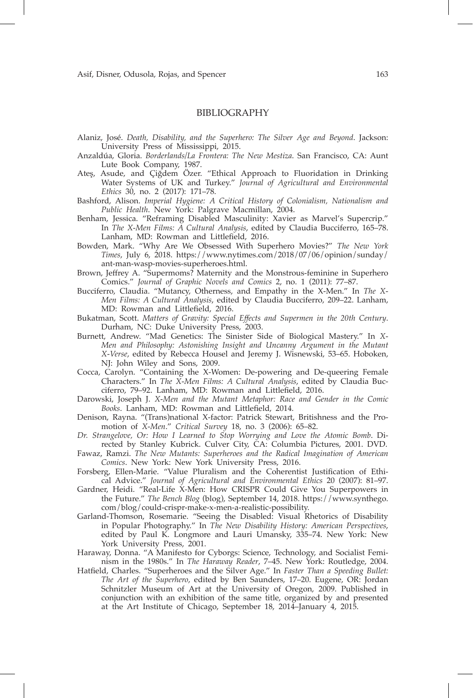## **BIBLIOGRAPHY**

- Alaniz, José. *Death, Disability, and the Superhero: The Silver Age and Beyond*. Jackson: University Press of Mississippi, 2015.
- Anzaldúa, Gloria. *Borderlands/La Frontera: The New Mestiza*. San Francisco, CA: Aunt Lute Book Company, 1987.
- Ateş, Asude, and Çiğdem Özer. "Ethical Approach to Fluoridation in Drinking Water Systems of UK and Turkey." *Journal of Agricultural and Environmental Ethics* 30, no. 2 (2017): 171–78.
- Bashford, Alison. *Imperial Hygiene: A Critical History of Colonialism, Nationalism and Public Health*. New York: Palgrave Macmillan, 2004.
- Benham, Jessica. "Reframing Disabled Masculinity: Xavier as Marvel's Supercrip." In *The X-Men Films: A Cultural Analysis*, edited by Claudia Bucciferro, 165–78. Lanham, MD: Rowman and Littlefield, 2016.
- Bowden, Mark. "Why Are We Obsessed With Superhero Movies?" *The New York Times*, July 6, 2018. https://www.nytimes.com/2018/07/06/opinion/sunday/ ant-man-wasp-movies-superheroes.html.
- Brown, Jeffrey A. "Supermoms? Maternity and the Monstrous-feminine in Superhero Comics." *Journal of Graphic Novels and Comics* 2, no. 1 (2011): 77–87.
- Bucciferro, Claudia. "Mutancy, Otherness, and Empathy in the X-Men." In *The X-Men Films: A Cultural Analysis*, edited by Claudia Bucciferro, 209–22. Lanham, MD: Rowman and Littlefield, 2016.
- Bukatman, Scott. *Matters of Gravity: Special Effects and Supermen in the 20th Century*. Durham, NC: Duke University Press, 2003.
- Burnett, Andrew. "Mad Genetics: The Sinister Side of Biological Mastery." In *X-Men and Philosophy: Astonishing Insight and Uncanny Argument in the Mutant X-Verse*, edited by Rebecca Housel and Jeremy J. Wisnewski, 53–65. Hoboken, NJ: John Wiley and Sons, 2009.
- Cocca, Carolyn. "Containing the X-Women: De-powering and De-queering Female Characters." In *The X-Men Films: A Cultural Analysis*, edited by Claudia Bucciferro, 79–92. Lanham, MD: Rowman and Littlefield, 2016.
- Darowski, Joseph J. *X-Men and the Mutant Metaphor: Race and Gender in the Comic Books*. Lanham, MD: Rowman and Littlefield, 2014.
- Denison, Rayna. "(Trans)national X-factor: Patrick Stewart, Britishness and the Promotion of *X-Men*." *Critical Survey* 18, no. 3 (2006): 65–82.
- *Dr. Strangelove, Or: How I Learned to Stop Worrying and Love the Atomic Bomb*. Directed by Stanley Kubrick. Culver City, CA: Columbia Pictures, 2001. DVD.
- Fawaz, Ramzi. *The New Mutants: Superheroes and the Radical Imagination of American Comics*. New York: New York University Press, 2016.
- Forsberg, Ellen-Marie. "Value Pluralism and the Coherentist Justification of Ethical Advice." *Journal of Agricultural and Environmental Ethics* 20 (2007): 81–97.
- Gardner, Heidi. "Real-Life X-Men: How CRISPR Could Give You Superpowers in the Future." *The Bench Blog* (blog), September 14, 2018. https://www.synthego. com/blog/could-crispr-make-x-men-a-realistic-possibility.
- Garland-Thomson, Rosemarie. "Seeing the Disabled: Visual Rhetorics of Disability in Popular Photography." In *The New Disability History: American Perspectives*, edited by Paul K. Longmore and Lauri Umansky, 335–74. New York: New York University Press, 2001.
- Haraway, Donna. "A Manifesto for Cyborgs: Science, Technology, and Socialist Feminism in the 1980s." In *The Haraway Reader*, 7–45. New York: Routledge, 2004.
- Hatfield, Charles. "Superheroes and the Silver Age." In *Faster Than a Speeding Bullet: The Art of the Superhero*, edited by Ben Saunders, 17–20. Eugene, OR: Jordan Schnitzler Museum of Art at the University of Oregon, 2009. Published in conjunction with an exhibition of the same title, organized by and presented at the Art Institute of Chicago, September 18, 2014–January 4, 2015.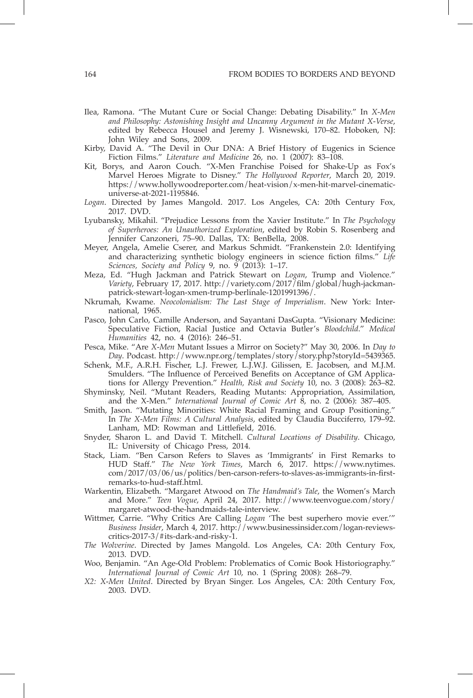- Ilea, Ramona. "The Mutant Cure or Social Change: Debating Disability." In *X-Men and Philosophy: Astonishing Insight and Uncanny Argument in the Mutant X-Verse*, edited by Rebecca Housel and Jeremy J. Wisnewski, 170–82. Hoboken, NJ: John Wiley and Sons, 2009.
- Kirby, David A. "The Devil in Our DNA: A Brief History of Eugenics in Science Fiction Films." *Literature and Medicine* 26, no. 1 (2007): 83–108.
- Kit, Borys, and Aaron Couch. "X-Men Franchise Poised for Shake-Up as Fox's Marvel Heroes Migrate to Disney." *The Hollywood Reporter*, March 20, 2019. https://www.hollywoodreporter.com/heat-vision/x-men-hit-marvel-cinematicuniverse-at-2021-1195846.
- *Logan*. Directed by James Mangold. 2017. Los Angeles, CA: 20th Century Fox, 2017. DVD.
- Lyubansky, Mikahil. "Prejudice Lessons from the Xavier Institute." In *The Psychology of Superheroes: An Unauthorized Exploration*, edited by Robin S. Rosenberg and Jennifer Canzoneri, 75–90. Dallas, TX: BenBella, 2008.
- Meyer, Angela, Amelie Cserer, and Markus Schmidt. "Frankenstein 2.0: Identifying and characterizing synthetic biology engineers in science fiction films." *Life Sciences, Society and Policy* 9, no. 9 (2013): 1–17.
- Meza, Ed. "Hugh Jackman and Patrick Stewart on *Logan*, Trump and Violence." *Variety*, February 17, 2017. http://variety.com/2017/film/global/hugh-jackmanpatrick-stewart-logan-xmen-trump-berlinale-1201991396/.
- Nkrumah, Kwame. *Neocolonialism: The Last Stage of Imperialism*. New York: International, 1965.
- Pasco, John Carlo, Camille Anderson, and Sayantani DasGupta. "Visionary Medicine: Speculative Fiction, Racial Justice and Octavia Butler's *Bloodchild*." *Medical Humanities* 42, no. 4 (2016): 246–51.
- Pesca, Mike. "Are *X-Men* Mutant Issues a Mirror on Society?" May 30, 2006. In *Day to Day*. Podcast. http://www.npr.org/templates/story/story.php?storyId=5439365.
- Schenk, M.F., A.R.H. Fischer, L.J. Frewer, L.J.W.J. Gilissen, E. Jacobsen, and M.J.M. Smulders. "The Influence of Perceived Benefits on Acceptance of GM Applications for Allergy Prevention." *Health, Risk and Society* 10, no. 3 (2008): 263–82.
- Shyminsky, Neil. "Mutant Readers, Reading Mutants: Appropriation, Assimilation, and the X-Men." *International Journal of Comic Art* 8, no. 2 (2006): 387–405.
- Smith, Jason. "Mutating Minorities: White Racial Framing and Group Positioning." In *The X-Men Films: A Cultural Analysis*, edited by Claudia Bucciferro, 179–92. Lanham, MD: Rowman and Littlefield, 2016.
- Snyder, Sharon L. and David T. Mitchell. *Cultural Locations of Disability*. Chicago, IL: University of Chicago Press, 2014.
- Stack, Liam. "Ben Carson Refers to Slaves as 'Immigrants' in First Remarks to HUD Staff." *The New York Times*, March 6, 2017. https://www.nytimes. com/2017/03/06/us/politics/ben-carson-refers-to-slaves-as-immigrants-in-firstremarks-to-hud-staff.html.
- Warkentin, Elizabeth. "Margaret Atwood on *The Handmaid's Tale*, the Women's March and More." *Teen Vogue*, April 24, 2017. http://www.teenvogue.com/story/ margaret-atwood-the-handmaids-tale-interview.
- Wittmer, Carrie. "Why Critics Are Calling *Logan* 'The best superhero movie ever.'" *Business Insider*, March 4, 2017. http://www.businessinsider.com/logan-reviewscritics-2017-3/#its-dark-and-risky-1.
- *The Wolverine*. Directed by James Mangold. Los Angeles, CA: 20th Century Fox, 2013. DVD.
- Woo, Benjamin. "An Age-Old Problem: Problematics of Comic Book Historiography." *International Journal of Comic Art* 10, no. 1 (Spring 2008): 268–79.
- *X2: X-Men United*. Directed by Bryan Singer. Los Angeles, CA: 20th Century Fox, 2003. DVD.